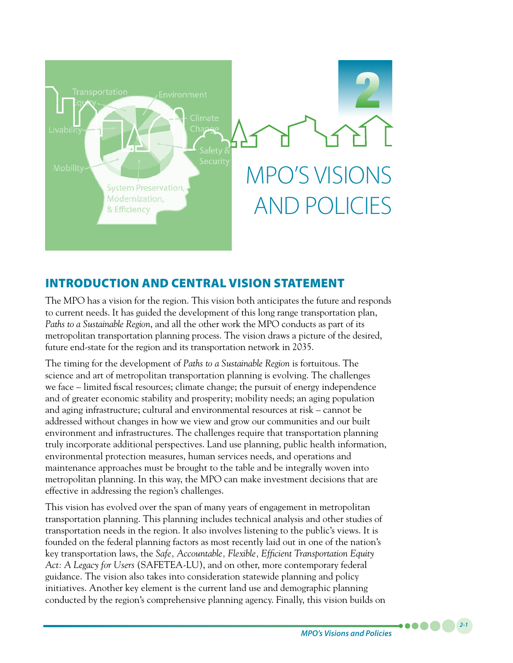

# INTRODUCTION AND CENTRAL VISION STATEMENT

The MPO has a vision for the region. This vision both anticipates the future and responds to current needs. It has guided the development of this long range transportation plan, *Paths to a Sustainable Region*, and all the other work the MPO conducts as part of its metropolitan transportation planning process. The vision draws a picture of the desired, future end-state for the region and its transportation network in 2035.

The timing for the development of *Paths to a Sustainable Region* is fortuitous. The science and art of metropolitan transportation planning is evolving. The challenges we face – limited fiscal resources; climate change; the pursuit of energy independence and of greater economic stability and prosperity; mobility needs; an aging population and aging infrastructure; cultural and environmental resources at risk – cannot be addressed without changes in how we view and grow our communities and our built environment and infrastructures. The challenges require that transportation planning truly incorporate additional perspectives. Land use planning, public health information, environmental protection measures, human services needs, and operations and maintenance approaches must be brought to the table and be integrally woven into metropolitan planning. In this way, the MPO can make investment decisions that are effective in addressing the region's challenges.

This vision has evolved over the span of many years of engagement in metropolitan transportation planning. This planning includes technical analysis and other studies of transportation needs in the region. It also involves listening to the public's views. It is founded on the federal planning factors as most recently laid out in one of the nation's key transportation laws, the *Safe, Accountable, Flexible, Efficient Transportation Equity Act: A Legacy for Users* (SAFETEA-LU), and on other, more contemporary federal guidance. The vision also takes into consideration statewide planning and policy initiatives. Another key element is the current land use and demographic planning conducted by the region's comprehensive planning agency. Finally, this vision builds on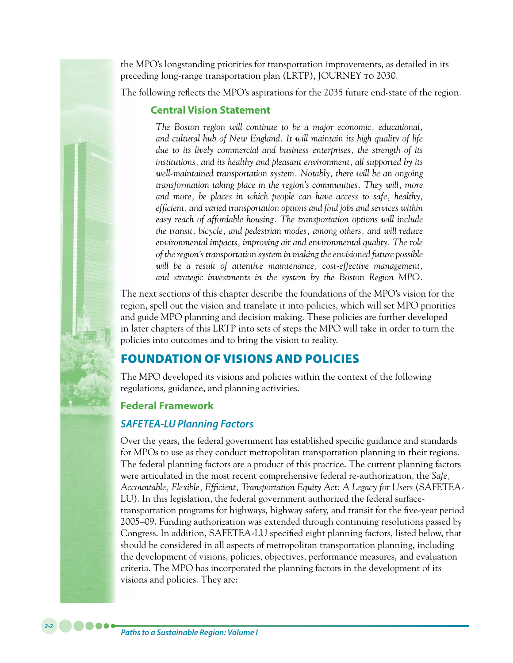the MPO's longstanding priorities for transportation improvements, as detailed in its preceding long-range transportation plan (LRTP), JOURNEY to 2030.

The following reflects the MPO's aspirations for the 2035 future end-state of the region.

#### **Central Vision Statement**

*The Boston region will continue to be a major economic, educational, and cultural hub of New England. It will maintain its high quality of life due to its lively commercial and business enterprises, the strength of its institutions, and its healthy and pleasant environment, all supported by its well-maintained transportation system. Notably, there will be an ongoing transformation taking place in the region's communities. They will, more and more, be places in which people can have access to safe, healthy, efficient, and varied transportation options and find jobs and services within easy reach of affordable housing. The transportation options will include the transit, bicycle, and pedestrian modes, among others, and will reduce environmental impacts, improving air and environmental quality. The role of the region's transportation system in making the envisioned future possible will be a result of attentive maintenance, cost-effective management, and strategic investments in the system by the Boston Region MPO.*

The next sections of this chapter describe the foundations of the MPO's vision for the region, spell out the vision and translate it into policies, which will set MPO priorities and guide MPO planning and decision making. These policies are further developed in later chapters of this LRTP into sets of steps the MPO will take in order to turn the policies into outcomes and to bring the vision to reality.

## FOUNDATION OF VISIONS AND POLICIES

The MPO developed its visions and policies within the context of the following regulations, guidance, and planning activities.

## **Federal Framework**

## *SAFETEA-LU Planning Factors*

Over the years, the federal government has established specific guidance and standards for MPOs to use as they conduct metropolitan transportation planning in their regions. The federal planning factors are a product of this practice. The current planning factors were articulated in the most recent comprehensive federal re-authorization, the *Safe, Accountable, Flexible, Efficient, Transportation Equity Act: A Legacy for Users* (SAFETEA-LU). In this legislation, the federal government authorized the federal surfacetransportation programs for highways, highway safety, and transit for the five-year period 2005–09. Funding authorization was extended through continuing resolutions passed by Congress. In addition, SAFETEA-LU specified eight planning factors, listed below, that should be considered in all aspects of metropolitan transportation planning, including the development of visions, policies, objectives, performance measures, and evaluation criteria. The MPO has incorporated the planning factors in the development of its visions and policies. They are: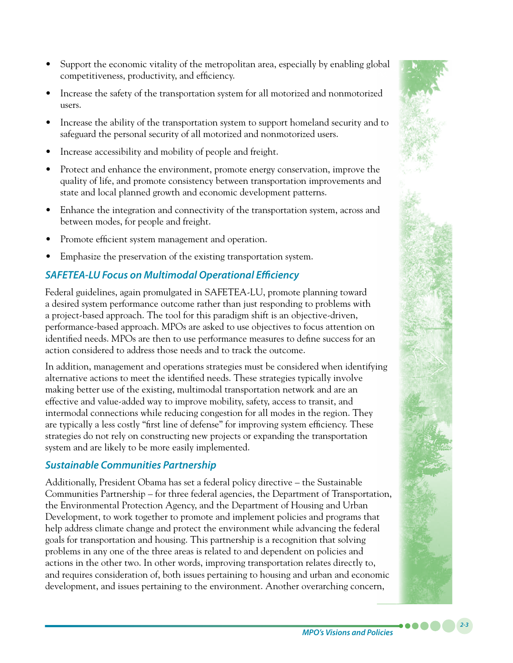- Support the economic vitality of the metropolitan area, especially by enabling global competitiveness, productivity, and efficiency.
- Increase the safety of the transportation system for all motorized and nonmotorized users.
- Increase the ability of the transportation system to support homeland security and to safeguard the personal security of all motorized and nonmotorized users.
- Increase accessibility and mobility of people and freight.
- Protect and enhance the environment, promote energy conservation, improve the quality of life, and promote consistency between transportation improvements and state and local planned growth and economic development patterns.
- Enhance the integration and connectivity of the transportation system, across and between modes, for people and freight.
- Promote efficient system management and operation.
- Emphasize the preservation of the existing transportation system.

# *SAFETEA-LU Focus on Multimodal Operational Efficiency*

Federal guidelines, again promulgated in SAFETEA-LU, promote planning toward a desired system performance outcome rather than just responding to problems with a project-based approach. The tool for this paradigm shift is an objective-driven, performance-based approach. MPOs are asked to use objectives to focus attention on identified needs. MPOs are then to use performance measures to define success for an action considered to address those needs and to track the outcome.

In addition, management and operations strategies must be considered when identifying alternative actions to meet the identified needs. These strategies typically involve making better use of the existing, multimodal transportation network and are an effective and value-added way to improve mobility, safety, access to transit, and intermodal connections while reducing congestion for all modes in the region. They are typically a less costly "first line of defense" for improving system efficiency. These strategies do not rely on constructing new projects or expanding the transportation system and are likely to be more easily implemented.

## *Sustainable Communities Partnership*

Additionally, President Obama has set a federal policy directive – the Sustainable Communities Partnership – for three federal agencies, the Department of Transportation, the Environmental Protection Agency, and the Department of Housing and Urban Development, to work together to promote and implement policies and programs that help address climate change and protect the environment while advancing the federal goals for transportation and housing. This partnership is a recognition that solving problems in any one of the three areas is related to and dependent on policies and actions in the other two. In other words, improving transportation relates directly to, and requires consideration of, both issues pertaining to housing and urban and economic development, and issues pertaining to the environment. Another overarching concern,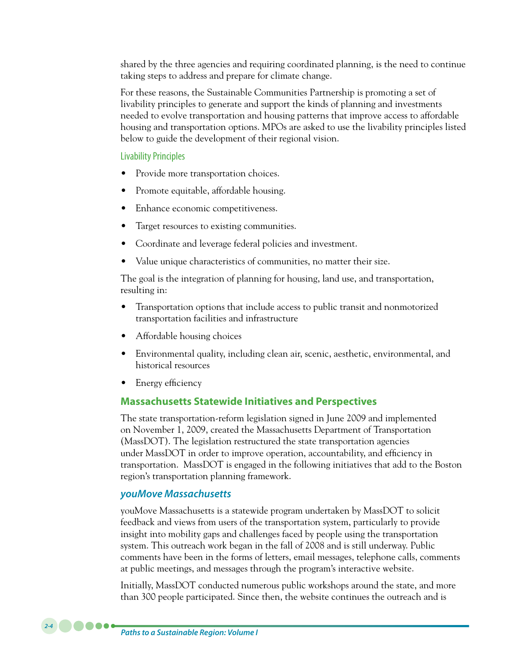shared by the three agencies and requiring coordinated planning, is the need to continue taking steps to address and prepare for climate change.

For these reasons, the Sustainable Communities Partnership is promoting a set of livability principles to generate and support the kinds of planning and investments needed to evolve transportation and housing patterns that improve access to affordable housing and transportation options. MPOs are asked to use the livability principles listed below to guide the development of their regional vision.

#### Livability Principles

- Provide more transportation choices.
- Promote equitable, affordable housing.
- Enhance economic competitiveness.
- Target resources to existing communities.
- Coordinate and leverage federal policies and investment.
- Value unique characteristics of communities, no matter their size.

The goal is the integration of planning for housing, land use, and transportation, resulting in:

- Transportation options that include access to public transit and nonmotorized transportation facilities and infrastructure
- Affordable housing choices
- Environmental quality, including clean air, scenic, aesthetic, environmental, and historical resources
- Energy efficiency

#### **Massachusetts Statewide Initiatives and Perspectives**

The state transportation-reform legislation signed in June 2009 and implemented on November 1, 2009, created the Massachusetts Department of Transportation (MassDOT). The legislation restructured the state transportation agencies under MassDOT in order to improve operation, accountability, and efficiency in transportation. MassDOT is engaged in the following initiatives that add to the Boston region's transportation planning framework.

#### *youMove Massachusetts*

youMove Massachusetts is a statewide program undertaken by MassDOT to solicit feedback and views from users of the transportation system, particularly to provide insight into mobility gaps and challenges faced by people using the transportation system. This outreach work began in the fall of 2008 and is still underway. Public comments have been in the forms of letters, email messages, telephone calls, comments at public meetings, and messages through the program's interactive website.

Initially, MassDOT conducted numerous public workshops around the state, and more than 300 people participated. Since then, the website continues the outreach and is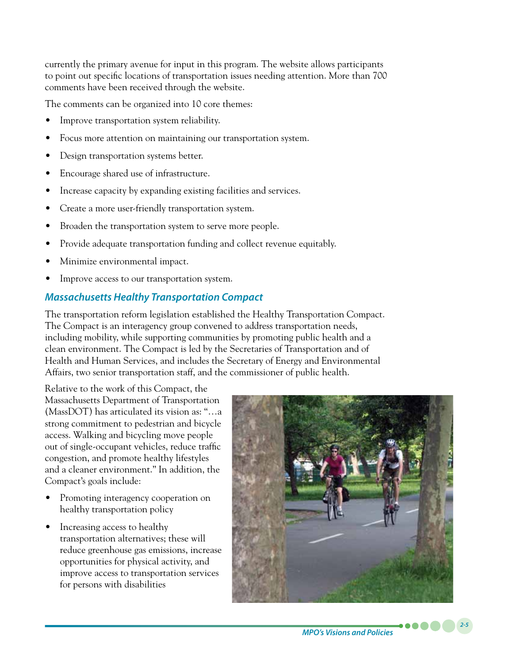currently the primary avenue for input in this program. The website allows participants to point out specific locations of transportation issues needing attention. More than 700 comments have been received through the website.

The comments can be organized into 10 core themes:

- Improve transportation system reliability.
- Focus more attention on maintaining our transportation system.
- Design transportation systems better.
- Encourage shared use of infrastructure.
- Increase capacity by expanding existing facilities and services.
- Create a more user-friendly transportation system.
- Broaden the transportation system to serve more people.
- Provide adequate transportation funding and collect revenue equitably.
- Minimize environmental impact.
- Improve access to our transportation system.

## *Massachusetts Healthy Transportation Compact*

The transportation reform legislation established the Healthy Transportation Compact. The Compact is an interagency group convened to address transportation needs, including mobility, while supporting communities by promoting public health and a clean environment. The Compact is led by the Secretaries of Transportation and of Health and Human Services, and includes the Secretary of Energy and Environmental Affairs, two senior transportation staff, and the commissioner of public health.

Relative to the work of this Compact, the Massachusetts Department of Transportation (MassDOT) has articulated its vision as: "…a strong commitment to pedestrian and bicycle access. Walking and bicycling move people out of single-occupant vehicles, reduce traffic congestion, and promote healthy lifestyles and a cleaner environment." In addition, the Compact's goals include:

- Promoting interagency cooperation on healthy transportation policy
- Increasing access to healthy transportation alternatives; these will reduce greenhouse gas emissions, increase opportunities for physical activity, and improve access to transportation services for persons with disabilities

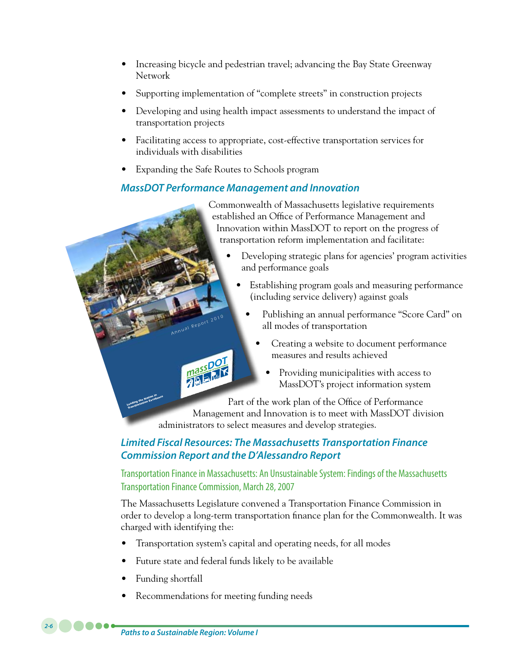- Increasing bicycle and pedestrian travel; advancing the Bay State Greenway Network
- Supporting implementation of "complete streets" in construction projects
- Developing and using health impact assessments to understand the impact of transportation projects
- Facilitating access to appropriate, cost-effective transportation services for individuals with disabilities
- Expanding the Safe Routes to Schools program

*An<sup>n</sup>ua<sup>l</sup>Rep<sup>o</sup>rt 20<sup>10</sup>*

masspot<br>History

## *MassDOT Performance Management and Innovation*

Commonwealth of Massachusetts legislative requirements established an Office of Performance Management and Innovation within MassDOT to report on the progress of transportation reform implementation and facilitate:

- Developing strategic plans for agencies' program activities and performance goals
	- Establishing program goals and measuring performance (including service delivery) against goals
		- Publishing an annual performance "Score Card" on all modes of transportation
			- Creating a website to document performance measures and results achieved
				- Providing municipalities with access to MassDOT's project information system

Part of the work plan of the Office of Performance

Management and Innovation is to meet with MassDOT division administrators to select measures and develop strategies. *Leading the Nation in Transportation Excellence*

## *Limited Fiscal Resources: The Massachusetts Transportation Finance Commission Report and the D'Alessandro Report*

Transportation Finance in Massachusetts: An Unsustainable System: Findings of the Massachusetts Transportation Finance Commission, March 28, 2007

The Massachusetts Legislature convened a Transportation Finance Commission in order to develop a long-term transportation finance plan for the Commonwealth. It was charged with identifying the:

- Transportation system's capital and operating needs, for all modes
- Future state and federal funds likely to be available
- Funding shortfall

*2-6*

Recommendations for meeting funding needs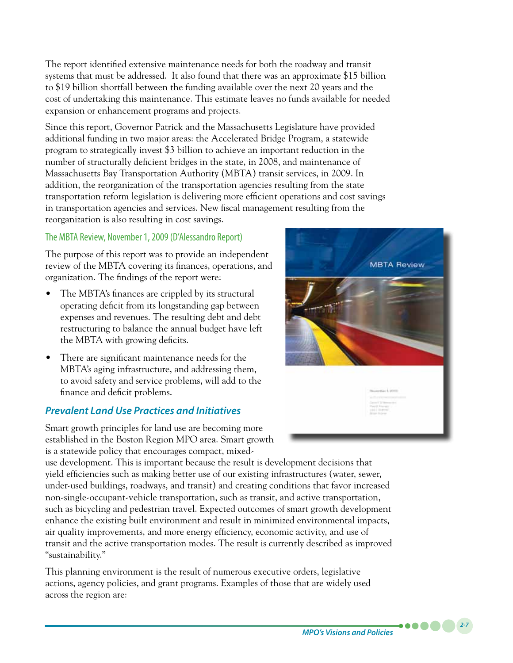The report identified extensive maintenance needs for both the roadway and transit systems that must be addressed. It also found that there was an approximate \$15 billion to \$19 billion shortfall between the funding available over the next 20 years and the cost of undertaking this maintenance. This estimate leaves no funds available for needed expansion or enhancement programs and projects.

Since this report, Governor Patrick and the Massachusetts Legislature have provided additional funding in two major areas: the Accelerated Bridge Program, a statewide program to strategically invest \$3 billion to achieve an important reduction in the number of structurally deficient bridges in the state, in 2008, and maintenance of Massachusetts Bay Transportation Authority (MBTA) transit services, in 2009. In addition, the reorganization of the transportation agencies resulting from the state transportation reform legislation is delivering more efficient operations and cost savings in transportation agencies and services. New fiscal management resulting from the reorganization is also resulting in cost savings.

#### The MBTA Review, November 1, 2009 (D'Alessandro Report)

The purpose of this report was to provide an independent review of the MBTA covering its finances, operations, and organization. The findings of the report were:

- The MBTA's finances are crippled by its structural operating deficit from its longstanding gap between expenses and revenues. The resulting debt and debt restructuring to balance the annual budget have left the MBTA with growing deficits.
- There are significant maintenance needs for the MBTA's aging infrastructure, and addressing them, to avoid safety and service problems, will add to the finance and deficit problems.

## *Prevalent Land Use Practices and Initiatives*

Smart growth principles for land use are becoming more established in the Boston Region MPO area. Smart growth is a statewide policy that encourages compact, mixed-

use development. This is important because the result is development decisions that yield efficiencies such as making better use of our existing infrastructures (water, sewer, under-used buildings, roadways, and transit) and creating conditions that favor increased non-single-occupant-vehicle transportation, such as transit, and active transportation, such as bicycling and pedestrian travel. Expected outcomes of smart growth development enhance the existing built environment and result in minimized environmental impacts, air quality improvements, and more energy efficiency, economic activity, and use of transit and the active transportation modes. The result is currently described as improved "sustainability."

This planning environment is the result of numerous executive orders, legislative actions, agency policies, and grant programs. Examples of those that are widely used across the region are:



*MPO's Visions and Policies*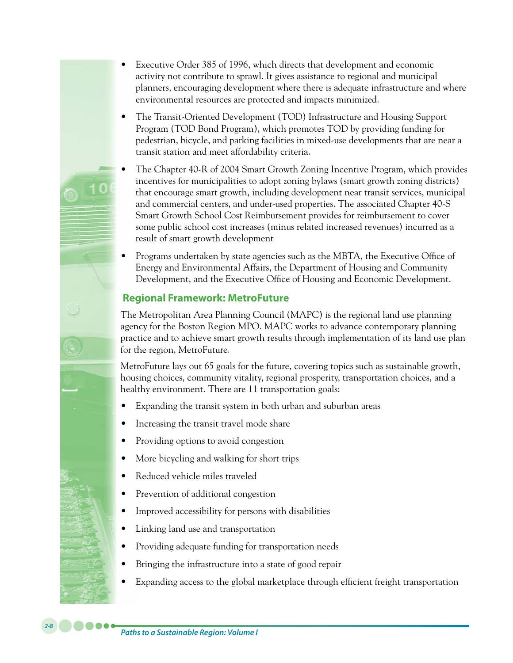- Executive Order 385 of 1996, which directs that development and economic activity not contribute to sprawl. It gives assistance to regional and municipal planners, encouraging development where there is adequate infrastructure and where environmental resources are protected and impacts minimized.
- The Transit-Oriented Development (TOD) Infrastructure and Housing Support Program (TOD Bond Program), which promotes TOD by providing funding for pedestrian, bicycle, and parking facilities in mixed-use developments that are near a transit station and meet affordability criteria.
- The Chapter 40-R of 2004 Smart Growth Zoning Incentive Program, which provides incentives for municipalities to adopt zoning bylaws (smart growth zoning districts) that encourage smart growth, including development near transit services, municipal and commercial centers, and under-used properties. The associated Chapter 40-S Smart Growth School Cost Reimbursement provides for reimbursement to cover some public school cost increases (minus related increased revenues) incurred as a result of smart growth development
- Programs undertaken by state agencies such as the MBTA, the Executive Office of Energy and Environmental Affairs, the Department of Housing and Community Development, and the Executive Office of Housing and Economic Development.

#### **Regional Framework: MetroFuture**

The Metropolitan Area Planning Council (MAPC) is the regional land use planning agency for the Boston Region MPO. MAPC works to advance contemporary planning practice and to achieve smart growth results through implementation of its land use plan for the region, MetroFuture.

MetroFuture lays out 65 goals for the future, covering topics such as sustainable growth, housing choices, community vitality, regional prosperity, transportation choices, and a healthy environment. There are 11 transportation goals:

- Expanding the transit system in both urban and suburban areas
- Increasing the transit travel mode share
- Providing options to avoid congestion
- More bicycling and walking for short trips
- Reduced vehicle miles traveled
- Prevention of additional congestion
- Improved accessibility for persons with disabilities
- Linking land use and transportation
- Providing adequate funding for transportation needs
- Bringing the infrastructure into a state of good repair
- Expanding access to the global marketplace through efficient freight transportation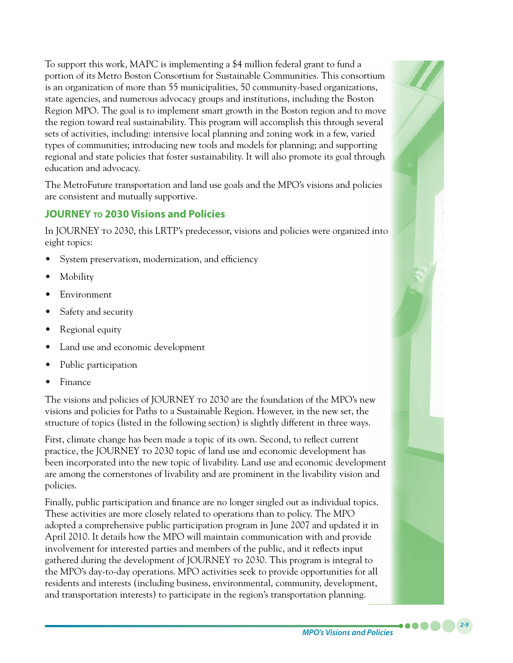To support this work, MAPC is implementing a \$4 million federal grant to fund a portion of its Metro Boston Consortium for Sustainable Communities. This consortium is an organization of more than 55 municipalities, 50 community-based organizations, state agencies, and numerous advocacy groups and institutions, including the Boston Region MPO. The goal is to implement smart growth in the Boston region and to move the region toward real sustainability. This program will accomplish this through several sets of activities, including: intensive local planning and zoning work in a few, varied types of communities; introducing new tools and models for planning; and supporting regional and state policies that foster sustainability. It will also promote its goal through education and advocacy.

The MetroFuture transportation and land use goals and the MPO's visions and policies are consistent and mutually supportive.

## **JOURNEY to 2030 Visions and Policies**

In JOURNEY to 2030, this LRTP's predecessor, visions and policies were organized into eight topics:

- System preservation, modernization, and efficiency
- **Mobility**
- **Environment**
- Safety and security
- Regional equity
- Land use and economic development
- Public participation
- **Finance**

The visions and policies of JOURNEY to 2030 are the foundation of the MPO's new visions and policies for Paths to a Sustainable Region. However, in the new set, the structure of topics (listed in the following section) is slightly different in three ways.

First, climate change has been made a topic of its own. Second, to reflect current practice, the JOURNEY to 2030 topic of land use and economic development has been incorporated into the new topic of livability. Land use and economic development are among the cornerstones of livability and are prominent in the livability vision and policies.

Finally, public participation and finance are no longer singled out as individual topics. These activities are more closely related to operations than to policy. The MPO adopted a comprehensive public participation program in June 2007 and updated it in April 2010. It details how the MPO will maintain communication with and provide involvement for interested parties and members of the public, and it reflects input gathered during the development of JOURNEY to 2030. This program is integral to the MPO's day-to-day operations. MPO activities seek to provide opportunities for all residents and interests (including business, environmental, community, development, and transportation interests) to participate in the region's transportation planning.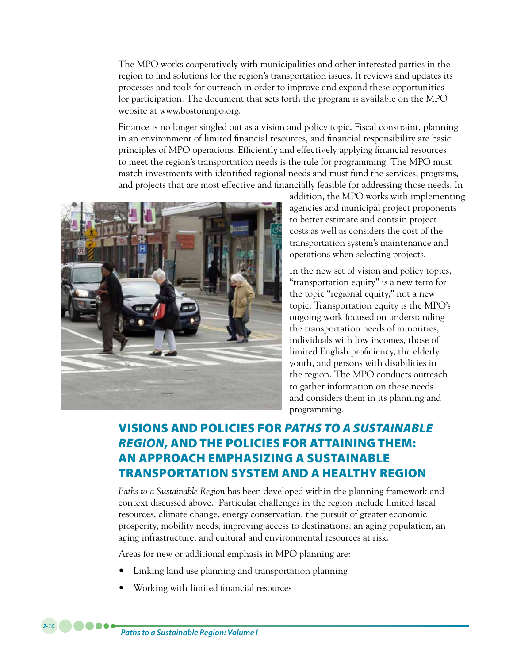The MPO works cooperatively with municipalities and other interested parties in the region to find solutions for the region's transportation issues. It reviews and updates its processes and tools for outreach in order to improve and expand these opportunities for participation. The document that sets forth the program is available on the MPO website at www.bostonmpo.org.

Finance is no longer singled out as a vision and policy topic. Fiscal constraint, planning in an environment of limited financial resources, and financial responsibility are basic principles of MPO operations. Efficiently and effectively applying financial resources to meet the region's transportation needs is the rule for programming. The MPO must match investments with identified regional needs and must fund the services, programs, and projects that are most effective and financially feasible for addressing those needs. In



addition, the MPO works with implementing agencies and municipal project proponents to better estimate and contain project costs as well as considers the cost of the transportation system's maintenance and operations when selecting projects.

In the new set of vision and policy topics, "transportation equity" is a new term for the topic "regional equity," not a new topic. Transportation equity is the MPO's ongoing work focused on understanding the transportation needs of minorities, individuals with low incomes, those of limited English proficiency, the elderly, youth, and persons with disabilities in the region. The MPO conducts outreach to gather information on these needs and considers them in its planning and programming.

# VISIONS AND POLICIES FOR *PATHS TO A SUSTAINABLE REGION*, AND THE POLICIES FOR ATTAINING THEM: AN APPROACH EMPHASIZING A SUSTAINABLE TRANSPORTATION SYSTEM AND A HEALTHY REGION

*Paths to a Sustainable Region* has been developed within the planning framework and context discussed above. Particular challenges in the region include limited fiscal resources, climate change, energy conservation, the pursuit of greater economic prosperity, mobility needs, improving access to destinations, an aging population, an aging infrastructure, and cultural and environmental resources at risk.

Areas for new or additional emphasis in MPO planning are:

- Linking land use planning and transportation planning
- Working with limited financial resources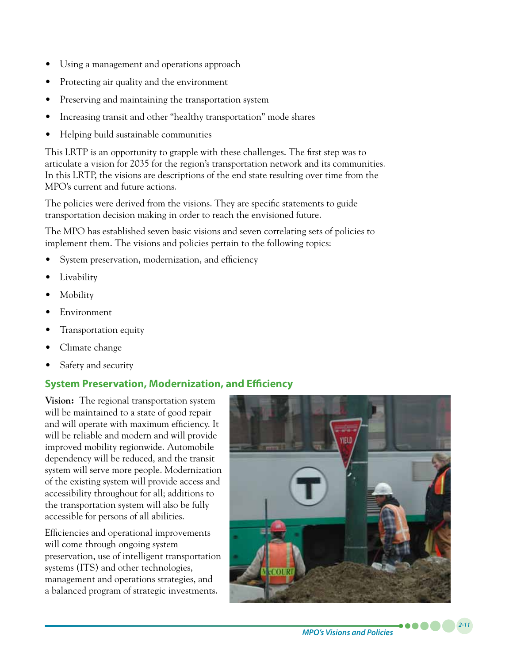- Using a management and operations approach
- Protecting air quality and the environment
- Preserving and maintaining the transportation system
- Increasing transit and other "healthy transportation" mode shares
- • Helping build sustainable communities

This LRTP is an opportunity to grapple with these challenges. The first step was to articulate a vision for 2035 for the region's transportation network and its communities. In this LRTP, the visions are descriptions of the end state resulting over time from the MPO's current and future actions.

The policies were derived from the visions. They are specific statements to guide transportation decision making in order to reach the envisioned future.

The MPO has established seven basic visions and seven correlating sets of policies to implement them. The visions and policies pertain to the following topics:

- System preservation, modernization, and efficiency
- Livability
- **Mobility**
- **Environment**
- Transportation equity
- Climate change
- Safety and security

## **System Preservation, Modernization, and Efficiency**

**Vision:** The regional transportation system will be maintained to a state of good repair and will operate with maximum efficiency. It will be reliable and modern and will provide improved mobility regionwide. Automobile dependency will be reduced, and the transit system will serve more people. Modernization of the existing system will provide access and accessibility throughout for all; additions to the transportation system will also be fully accessible for persons of all abilities.

Efficiencies and operational improvements will come through ongoing system preservation, use of intelligent transportation systems (ITS) and other technologies, management and operations strategies, and a balanced program of strategic investments.

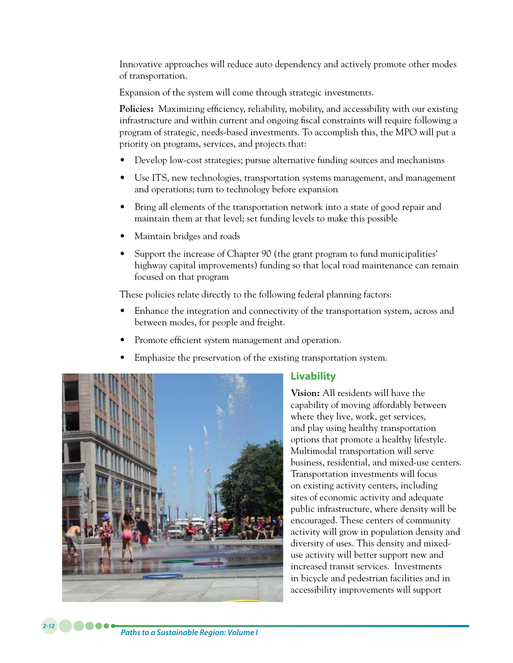Innovative approaches will reduce auto dependency and actively promote other modes of transportation.

Expansion of the system will come through strategic investments.

**Policies:** Maximizing efficiency, reliability, mobility, and accessibility with our existing infrastructure and within current and ongoing fiscal constraints will require following a program of strategic, needs-based investments. To accomplish this, the MPO will put a priority on programs, services, and projects that:

- Develop low-cost strategies; pursue alternative funding sources and mechanisms
- • Use ITS, new technologies, transportation systems management, and management and operations; turn to technology before expansion
- Bring all elements of the transportation network into a state of good repair and maintain them at that level; set funding levels to make this possible
- Maintain bridges and roads
- Support the increase of Chapter 90 (the grant program to fund municipalities' highway capital improvements) funding so that local road maintenance can remain focused on that program

These policies relate directly to the following federal planning factors:

- Enhance the integration and connectivity of the transportation system, across and between modes, for people and freight.
- Promote efficient system management and operation.
- Emphasize the preservation of the existing transportation system.



## **Livability**

**Vision:** All residents will have the capability of moving affordably between where they live, work, get services, and play using healthy transportation options that promote a healthy lifestyle. Multimodal transportation will serve business, residential, and mixed-use centers. Transportation investments will focus on existing activity centers, including sites of economic activity and adequate public infrastructure, where density will be encouraged. These centers of community activity will grow in population density and diversity of uses. This density and mixeduse activity will better support new and increased transit services. Investments in bicycle and pedestrian facilities and in accessibility improvements will support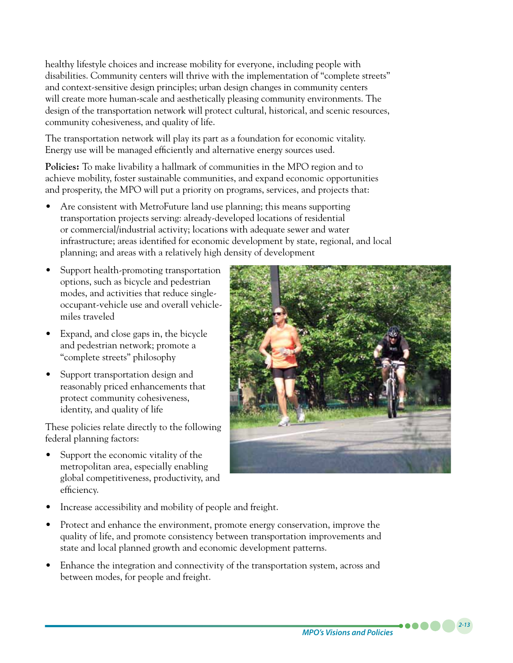healthy lifestyle choices and increase mobility for everyone, including people with disabilities. Community centers will thrive with the implementation of "complete streets" and context-sensitive design principles; urban design changes in community centers will create more human-scale and aesthetically pleasing community environments. The design of the transportation network will protect cultural, historical, and scenic resources, community cohesiveness, and quality of life.

The transportation network will play its part as a foundation for economic vitality. Energy use will be managed efficiently and alternative energy sources used.

**Policies:** To make livability a hallmark of communities in the MPO region and to achieve mobility, foster sustainable communities, and expand economic opportunities and prosperity, the MPO will put a priority on programs, services, and projects that:

- Are consistent with MetroFuture land use planning; this means supporting transportation projects serving: already-developed locations of residential or commercial/industrial activity; locations with adequate sewer and water infrastructure; areas identified for economic development by state, regional, and local planning; and areas with a relatively high density of development
- Support health-promoting transportation options, such as bicycle and pedestrian modes, and activities that reduce singleoccupant-vehicle use and overall vehiclemiles traveled
- Expand, and close gaps in, the bicycle and pedestrian network; promote a "complete streets" philosophy
- Support transportation design and reasonably priced enhancements that protect community cohesiveness, identity, and quality of life

These policies relate directly to the following federal planning factors:

Support the economic vitality of the metropolitan area, especially enabling global competitiveness, productivity, and efficiency.



- Increase accessibility and mobility of people and freight.
- Protect and enhance the environment, promote energy conservation, improve the quality of life, and promote consistency between transportation improvements and state and local planned growth and economic development patterns.
- Enhance the integration and connectivity of the transportation system, across and between modes, for people and freight.

*MPO's Visions and Policies*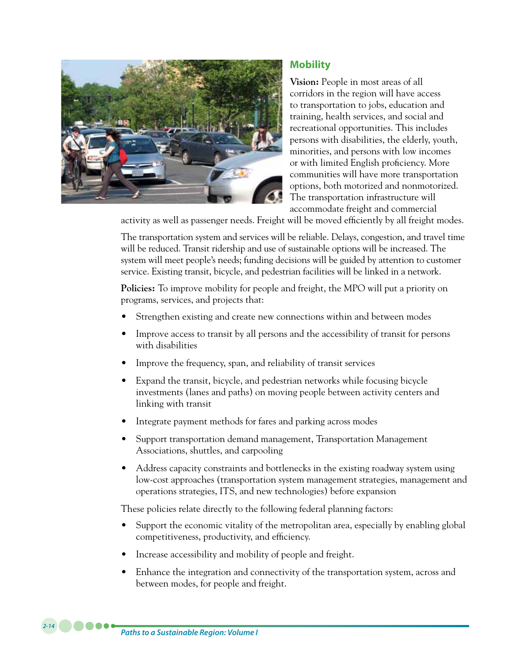

## **Mobility**

**Vision:** People in most areas of all corridors in the region will have access to transportation to jobs, education and training, health services, and social and recreational opportunities. This includes persons with disabilities, the elderly, youth, minorities, and persons with low incomes or with limited English proficiency. More communities will have more transportation options, both motorized and nonmotorized. The transportation infrastructure will accommodate freight and commercial

activity as well as passenger needs. Freight will be moved efficiently by all freight modes.

The transportation system and services will be reliable. Delays, congestion, and travel time will be reduced. Transit ridership and use of sustainable options will be increased. The system will meet people's needs; funding decisions will be guided by attention to customer service. Existing transit, bicycle, and pedestrian facilities will be linked in a network.

**Policies:** To improve mobility for people and freight, the MPO will put a priority on programs, services, and projects that:

- Strengthen existing and create new connections within and between modes
- Improve access to transit by all persons and the accessibility of transit for persons with disabilities
- Improve the frequency, span, and reliability of transit services
- Expand the transit, bicycle, and pedestrian networks while focusing bicycle investments (lanes and paths) on moving people between activity centers and linking with transit
- Integrate payment methods for fares and parking across modes
- Support transportation demand management, Transportation Management Associations, shuttles, and carpooling
- Address capacity constraints and bottlenecks in the existing roadway system using low-cost approaches (transportation system management strategies, management and operations strategies, ITS, and new technologies) before expansion

These policies relate directly to the following federal planning factors:

- Support the economic vitality of the metropolitan area, especially by enabling global competitiveness, productivity, and efficiency.
- Increase accessibility and mobility of people and freight.
- Enhance the integration and connectivity of the transportation system, across and between modes, for people and freight.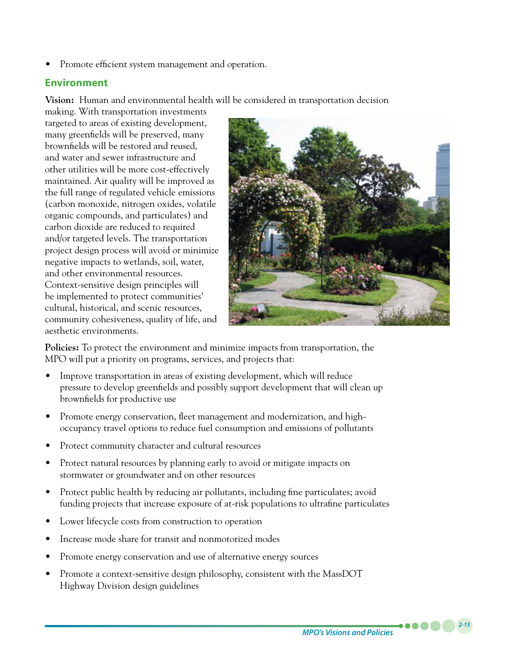Promote efficient system management and operation.

#### **Environment**

**Vision:** Human and environmental health will be considered in transportation decision

making. With transportation investments targeted to areas of existing development, many greenfields will be preserved, many brownfields will be restored and reused, and water and sewer infrastructure and other utilities will be more cost-effectively maintained. Air quality will be improved as the full range of regulated vehicle emissions (carbon monoxide, nitrogen oxides, volatile organic compounds, and particulates) and carbon dioxide are reduced to required and/or targeted levels. The transportation project design process will avoid or minimize negative impacts to wetlands, soil, water, and other environmental resources. Context-sensitive design principles will be implemented to protect communities' cultural, historical, and scenic resources, community cohesiveness, quality of life, and aesthetic environments.



**Policies:** To protect the environment and minimize impacts from transportation, the MPO will put a priority on programs, services, and projects that:

- Improve transportation in areas of existing development, which will reduce pressure to develop greenfields and possibly support development that will clean up brownfields for productive use
- Promote energy conservation, fleet management and modernization, and highoccupancy travel options to reduce fuel consumption and emissions of pollutants
- Protect community character and cultural resources
- Protect natural resources by planning early to avoid or mitigate impacts on stormwater or groundwater and on other resources
- Protect public health by reducing air pollutants, including fine particulates; avoid funding projects that increase exposure of at-risk populations to ultrafine particulates
- Lower lifecycle costs from construction to operation
- Increase mode share for transit and nonmotorized modes
- Promote energy conservation and use of alternative energy sources
- Promote a context-sensitive design philosophy, consistent with the MassDOT Highway Division design guidelines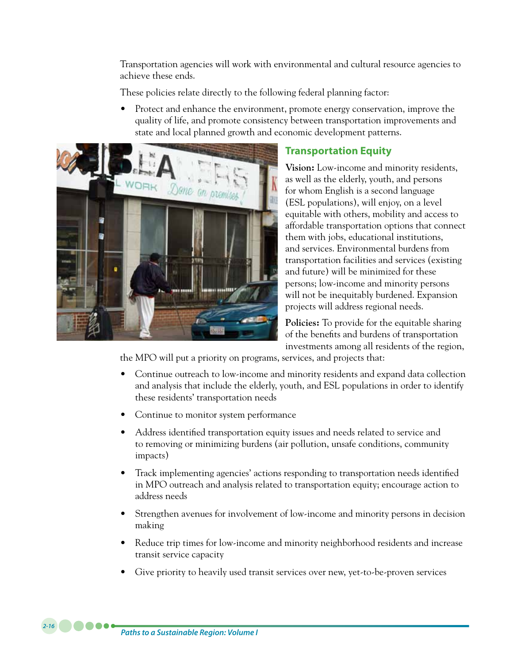Transportation agencies will work with environmental and cultural resource agencies to achieve these ends.

These policies relate directly to the following federal planning factor:

Protect and enhance the environment, promote energy conservation, improve the quality of life, and promote consistency between transportation improvements and state and local planned growth and economic development patterns.



## **Transportation Equity**

**Vision:** Low-income and minority residents, as well as the elderly, youth, and persons for whom English is a second language (ESL populations), will enjoy, on a level equitable with others, mobility and access to affordable transportation options that connect them with jobs, educational institutions, and services. Environmental burdens from transportation facilities and services (existing and future) will be minimized for these persons; low-income and minority persons will not be inequitably burdened. Expansion projects will address regional needs.

**Policies:** To provide for the equitable sharing of the benefits and burdens of transportation investments among all residents of the region,

the MPO will put a priority on programs, services, and projects that:

- Continue outreach to low-income and minority residents and expand data collection and analysis that include the elderly, youth, and ESL populations in order to identify these residents' transportation needs
- Continue to monitor system performance
- Address identified transportation equity issues and needs related to service and to removing or minimizing burdens (air pollution, unsafe conditions, community impacts)
- Track implementing agencies' actions responding to transportation needs identified in MPO outreach and analysis related to transportation equity; encourage action to address needs
- Strengthen avenues for involvement of low-income and minority persons in decision making
- Reduce trip times for low-income and minority neighborhood residents and increase transit service capacity
- Give priority to heavily used transit services over new, yet-to-be-proven services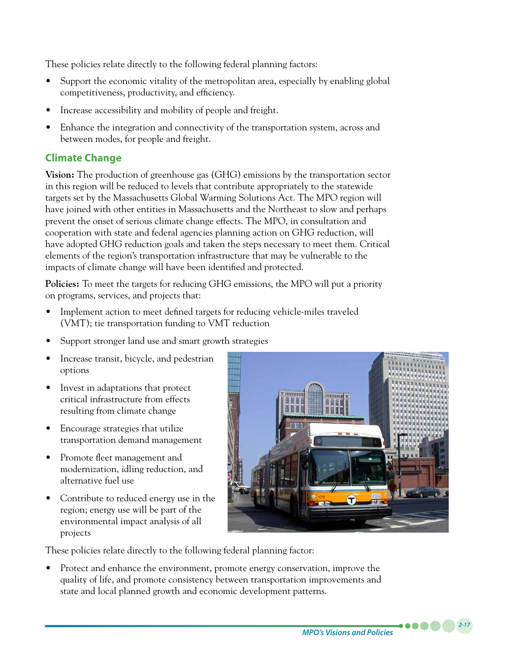These policies relate directly to the following federal planning factors:

- Support the economic vitality of the metropolitan area, especially by enabling global competitiveness, productivity, and efficiency.
- Increase accessibility and mobility of people and freight.
- Enhance the integration and connectivity of the transportation system, across and between modes, for people and freight.

## **Climate Change**

**Vision:** The production of greenhouse gas (GHG) emissions by the transportation sector in this region will be reduced to levels that contribute appropriately to the statewide targets set by the Massachusetts Global Warming Solutions Act. The MPO region will have joined with other entities in Massachusetts and the Northeast to slow and perhaps prevent the onset of serious climate change effects. The MPO, in consultation and cooperation with state and federal agencies planning action on GHG reduction, will have adopted GHG reduction goals and taken the steps necessary to meet them. Critical elements of the region's transportation infrastructure that may be vulnerable to the impacts of climate change will have been identified and protected.

**Policies:** To meet the targets for reducing GHG emissions, the MPO will put a priority on programs, services, and projects that:

- Implement action to meet defined targets for reducing vehicle-miles traveled (VMT); tie transportation funding to VMT reduction
- Support stronger land use and smart growth strategies
- Increase transit, bicycle, and pedestrian options
- Invest in adaptations that protect critical infrastructure from effects resulting from climate change
- Encourage strategies that utilize transportation demand management
- Promote fleet management and modernization, idling reduction, and alternative fuel use
- Contribute to reduced energy use in the region; energy use will be part of the environmental impact analysis of all projects



These policies relate directly to the following federal planning factor:

Protect and enhance the environment, promote energy conservation, improve the quality of life, and promote consistency between transportation improvements and state and local planned growth and economic development patterns.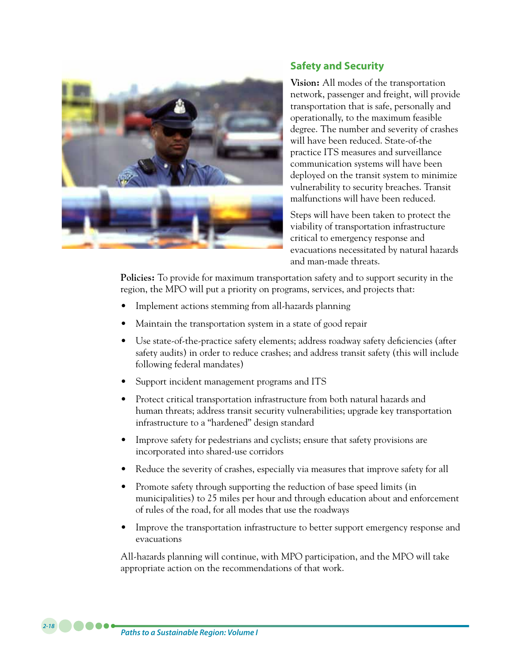

## **Safety and Security**

**Vision:** All modes of the transportation network, passenger and freight, will provide transportation that is safe, personally and operationally, to the maximum feasible degree. The number and severity of crashes will have been reduced. State-of-the practice ITS measures and surveillance communication systems will have been deployed on the transit system to minimize vulnerability to security breaches. Transit malfunctions will have been reduced.

Steps will have been taken to protect the viability of transportation infrastructure critical to emergency response and evacuations necessitated by natural hazards and man-made threats.

**Policies:** To provide for maximum transportation safety and to support security in the region, the MPO will put a priority on programs, services, and projects that:

- Implement actions stemming from all-hazards planning
- Maintain the transportation system in a state of good repair
- Use state-of-the-practice safety elements; address roadway safety deficiencies (after safety audits) in order to reduce crashes; and address transit safety (this will include following federal mandates)
- Support incident management programs and ITS
- Protect critical transportation infrastructure from both natural hazards and human threats; address transit security vulnerabilities; upgrade key transportation infrastructure to a "hardened" design standard
- Improve safety for pedestrians and cyclists; ensure that safety provisions are incorporated into shared-use corridors
- Reduce the severity of crashes, especially via measures that improve safety for all
- Promote safety through supporting the reduction of base speed limits (in municipalities) to 25 miles per hour and through education about and enforcement of rules of the road, for all modes that use the roadways
- Improve the transportation infrastructure to better support emergency response and evacuations

All-hazards planning will continue, with MPO participation, and the MPO will take appropriate action on the recommendations of that work.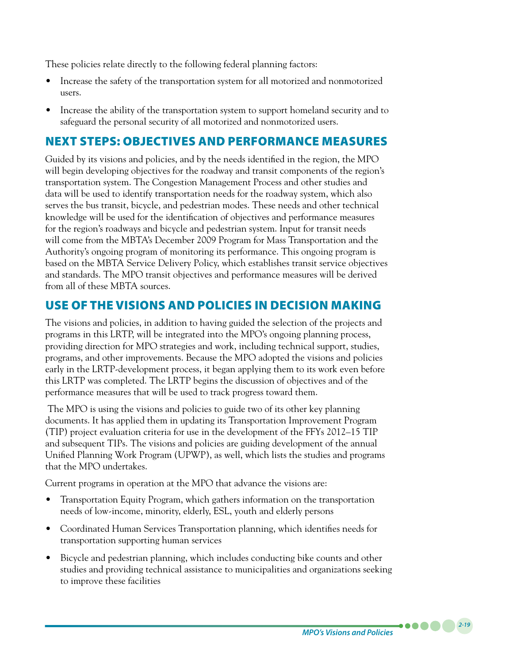These policies relate directly to the following federal planning factors:

- Increase the safety of the transportation system for all motorized and nonmotorized users.
- Increase the ability of the transportation system to support homeland security and to safeguard the personal security of all motorized and nonmotorized users.

# NEXT STEPS: OBJECTIVES AND PERFORMANCE MEASURES

Guided by its visions and policies, and by the needs identified in the region, the MPO will begin developing objectives for the roadway and transit components of the region's transportation system. The Congestion Management Process and other studies and data will be used to identify transportation needs for the roadway system, which also serves the bus transit, bicycle, and pedestrian modes. These needs and other technical knowledge will be used for the identification of objectives and performance measures for the region's roadways and bicycle and pedestrian system. Input for transit needs will come from the MBTA's December 2009 Program for Mass Transportation and the Authority's ongoing program of monitoring its performance. This ongoing program is based on the MBTA Service Delivery Policy, which establishes transit service objectives and standards. The MPO transit objectives and performance measures will be derived from all of these MBTA sources.

# USE OF THE VISIONS AND POLICIES IN DECISION MAKING

The visions and policies, in addition to having guided the selection of the projects and programs in this LRTP, will be integrated into the MPO's ongoing planning process, providing direction for MPO strategies and work, including technical support, studies, programs, and other improvements. Because the MPO adopted the visions and policies early in the LRTP-development process, it began applying them to its work even before this LRTP was completed. The LRTP begins the discussion of objectives and of the performance measures that will be used to track progress toward them.

 The MPO is using the visions and policies to guide two of its other key planning documents. It has applied them in updating its Transportation Improvement Program (TIP) project evaluation criteria for use in the development of the FFYs 2012–15 TIP and subsequent TIPs. The visions and policies are guiding development of the annual Unified Planning Work Program (UPWP), as well, which lists the studies and programs that the MPO undertakes.

Current programs in operation at the MPO that advance the visions are:

- Transportation Equity Program, which gathers information on the transportation needs of low-income, minority, elderly, ESL, youth and elderly persons
- Coordinated Human Services Transportation planning, which identifies needs for transportation supporting human services
- Bicycle and pedestrian planning, which includes conducting bike counts and other studies and providing technical assistance to municipalities and organizations seeking to improve these facilities

*2-19*

. . . .